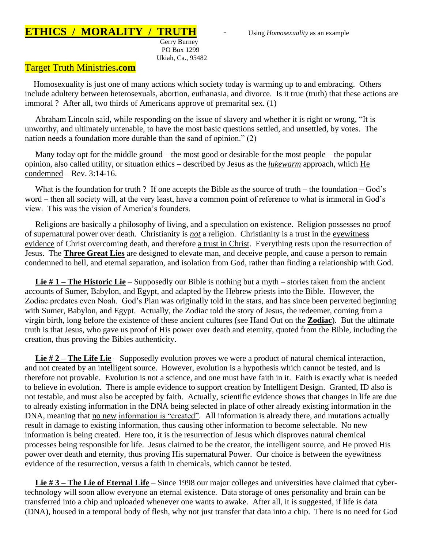## **ETHICS / MORALITY / TRUTH** - Using *Homosexuality* as an example

 Gerry Burney PO Box 1299 Ukiah, Ca., 95482

## Target Truth Ministries**.com**

 Homosexuality is just one of many actions which society today is warming up to and embracing. Others include adultery between heterosexuals, abortion, euthanasia, and divorce. Is it true (truth) that these actions are immoral ? After all, two thirds of Americans approve of premarital sex. (1)

 Abraham Lincoln said, while responding on the issue of slavery and whether it is right or wrong, "It is unworthy, and ultimately untenable, to have the most basic questions settled, and unsettled, by votes. The nation needs a foundation more durable than the sand of opinion." (2)

 Many today opt for the middle ground – the most good or desirable for the most people – the popular opinion, also called utility, or situation ethics – described by Jesus as the *lukewarm* approach, which He condemned – Rev. 3:14-16.

What is the foundation for truth ? If one accepts the Bible as the source of truth – the foundation – God's word – then all society will, at the very least, have a common point of reference to what is immoral in God's view. This was the vision of America's founders.

 Religions are basically a philosophy of living, and a speculation on existence. Religion possesses no proof of supernatural power over death. Christianity is *not* a religion. Christianity is a trust in the eyewitness evidence of Christ overcoming death, and therefore a trust in Christ. Everything rests upon the resurrection of Jesus. The **Three Great Lies** are designed to elevate man, and deceive people, and cause a person to remain condemned to hell, and eternal separation, and isolation from God, rather than finding a relationship with God.

 **Lie # 1 – The Historic Lie** – Supposedly our Bible is nothing but a myth – stories taken from the ancient accounts of Sumer, Babylon, and Egypt, and adapted by the Hebrew priests into the Bible. However, the Zodiac predates even Noah. God's Plan was originally told in the stars, and has since been perverted beginning with Sumer, Babylon, and Egypt. Actually, the Zodiac told the story of Jesus, the redeemer, coming from a virgin birth, long before the existence of these ancient cultures (see Hand Out on the **Zodiac**). But the ultimate truth is that Jesus, who gave us proof of His power over death and eternity, quoted from the Bible, including the creation, thus proving the Bibles authenticity.

 **Lie # 2 – The Life Lie** – Supposedly evolution proves we were a product of natural chemical interaction, and not created by an intelligent source. However, evolution is a hypothesis which cannot be tested, and is therefore not provable. Evolution is not a science, and one must have faith in it. Faith is exactly what is needed to believe in evolution. There is ample evidence to support creation by Intelligent Design. Granted, ID also is not testable, and must also be accepted by faith. Actually, scientific evidence shows that changes in life are due to already existing information in the DNA being selected in place of other already existing information in the DNA, meaning that no new information is "created". All information is already there, and mutations actually result in damage to existing information, thus causing other information to become selectable. No new information is being created. Here too, it is the resurrection of Jesus which disproves natural chemical processes being responsible for life. Jesus claimed to be the creator, the intelligent source, and He proved His power over death and eternity, thus proving His supernatural Power. Our choice is between the eyewitness evidence of the resurrection, versus a faith in chemicals, which cannot be tested.

 **Lie # 3 – The Lie of Eternal Life** – Since 1998 our major colleges and universities have claimed that cybertechnology will soon allow everyone an eternal existence. Data storage of ones personality and brain can be transferred into a chip and uploaded whenever one wants to awake. After all, it is suggested, if life is data (DNA), housed in a temporal body of flesh, why not just transfer that data into a chip. There is no need for God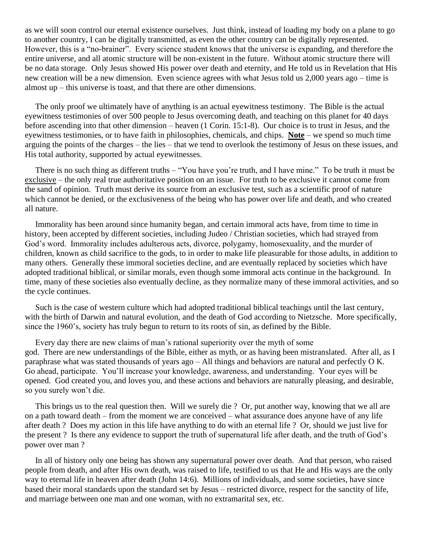as we will soon control our eternal existence ourselves. Just think, instead of loading my body on a plane to go to another country, I can be digitally transmitted, as even the other country can be digitally represented. However, this is a "no-brainer". Every science student knows that the universe is expanding, and therefore the entire universe, and all atomic structure will be non-existent in the future. Without atomic structure there will be no data storage. Only Jesus showed His power over death and eternity, and He told us in Revelation that His new creation will be a new dimension. Even science agrees with what Jesus told us 2,000 years ago – time is almost up – this universe is toast, and that there are other dimensions.

 The only proof we ultimately have of anything is an actual eyewitness testimony. The Bible is the actual eyewitness testimonies of over 500 people to Jesus overcoming death, and teaching on this planet for 40 days before ascending into that other dimension – heaven (1 Corin. 15:1-8). Our choice is to trust in Jesus, and the eyewitness testimonies, or to have faith in philosophies, chemicals, and chips. **Note** – we spend so much time arguing the points of the charges – the lies – that we tend to overlook the testimony of Jesus on these issues, and His total authority, supported by actual eyewitnesses.

 There is no such thing as different truths – "You have you're truth, and I have mine." To be truth it must be exclusive – the only real true authoritative position on an issue. For truth to be exclusive it cannot come from the sand of opinion. Truth must derive its source from an exclusive test, such as a scientific proof of nature which cannot be denied, or the exclusiveness of the being who has power over life and death, and who created all nature.

 Immorality has been around since humanity began, and certain immoral acts have, from time to time in history, been accepted by different societies, including Judeo / Christian societies, which had strayed from God's word. Immorality includes adulterous acts, divorce, polygamy, homosexuality, and the murder of children, known as child sacrifice to the gods, to in order to make life pleasurable for those adults, in addition to many others. Generally these immoral societies decline, and are eventually replaced by societies which have adopted traditional biblical, or similar morals, even though some immoral acts continue in the background. In time, many of these societies also eventually decline, as they normalize many of these immoral activities, and so the cycle continues.

 Such is the case of western culture which had adopted traditional biblical teachings until the last century, with the birth of Darwin and natural evolution, and the death of God according to Nietzsche. More specifically, since the 1960's, society has truly begun to return to its roots of sin, as defined by the Bible.

 Every day there are new claims of man's rational superiority over the myth of some god. There are new understandings of the Bible, either as myth, or as having been mistranslated. After all, as I paraphrase what was stated thousands of years ago – All things and behaviors are natural and perfectly O K. Go ahead, participate. You'll increase your knowledge, awareness, and understanding. Your eyes will be opened. God created you, and loves you, and these actions and behaviors are naturally pleasing, and desirable, so you surely won't die.

 This brings us to the real question then. Will we surely die ? Or, put another way, knowing that we all are on a path toward death – from the moment we are conceived – what assurance does anyone have of any life after death ? Does my action in this life have anything to do with an eternal life ? Or, should we just live for the present ? Is there any evidence to support the truth of supernatural life after death, and the truth of God's power over man ?

 In all of history only one being has shown any supernatural power over death. And that person, who raised people from death, and after His own death, was raised to life, testified to us that He and His ways are the only way to eternal life in heaven after death (John 14:6). Millions of individuals, and some societies, have since based their moral standards upon the standard set by Jesus – restricted divorce, respect for the sanctity of life, and marriage between one man and one woman, with no extramarital sex, etc.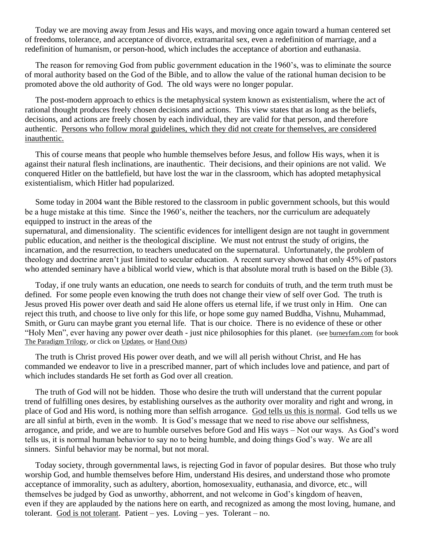Today we are moving away from Jesus and His ways, and moving once again toward a human centered set of freedoms, tolerance, and acceptance of divorce, extramarital sex, even a redefinition of marriage, and a redefinition of humanism, or person-hood, which includes the acceptance of abortion and euthanasia.

 The reason for removing God from public government education in the 1960's, was to eliminate the source of moral authority based on the God of the Bible, and to allow the value of the rational human decision to be promoted above the old authority of God. The old ways were no longer popular.

 The post-modern approach to ethics is the metaphysical system known as existentialism, where the act of rational thought produces freely chosen decisions and actions. This view states that as long as the beliefs, decisions, and actions are freely chosen by each individual, they are valid for that person, and therefore authentic. Persons who follow moral guidelines, which they did not create for themselves, are considered inauthentic.

 This of course means that people who humble themselves before Jesus, and follow His ways, when it is against their natural flesh inclinations, are inauthentic. Their decisions, and their opinions are not valid. We conquered Hitler on the battlefield, but have lost the war in the classroom, which has adopted metaphysical existentialism, which Hitler had popularized.

 Some today in 2004 want the Bible restored to the classroom in public government schools, but this would be a huge mistake at this time. Since the 1960's, neither the teachers, nor the curriculum are adequately equipped to instruct in the areas of the supernatural, and dimensionality. The scientific evidences for intelligent design are not taught in government public education, and neither is the theological discipline. We must not entrust the study of origins, the incarnation, and the resurrection, to teachers uneducated on the supernatural. Unfortunately, the problem of theology and doctrine aren't just limited to secular education. A recent survey showed that only 45% of pastors who attended seminary have a biblical world view, which is that absolute moral truth is based on the Bible (3).

 Today, if one truly wants an education, one needs to search for conduits of truth, and the term truth must be defined. For some people even knowing the truth does not change their view of self over God. The truth is Jesus proved His power over death and said He alone offers us eternal life, if we trust only in Him. One can reject this truth, and choose to live only for this life, or hope some guy named Buddha, Vishnu, Muhammad, Smith, or Guru can maybe grant you eternal life. That is our choice. There is no evidence of these or other "Holy Men", ever having any power over death - just nice philosophies for this planet. (see burneyfam.com for book The Paradigm Trilogy, or click on Updates, or Hand Outs)

 The truth is Christ proved His power over death, and we will all perish without Christ, and He has commanded we endeavor to live in a prescribed manner, part of which includes love and patience, and part of which includes standards He set forth as God over all creation.

 The truth of God will not be hidden. Those who desire the truth will understand that the current popular trend of fulfilling ones desires, by establishing ourselves as the authority over morality and right and wrong, in place of God and His word, is nothing more than selfish arrogance. God tells us this is normal. God tells us we are all sinful at birth, even in the womb. It is God's message that we need to rise above our selfishness, arrogance, and pride, and we are to humble ourselves before God and His ways – Not our ways. As God's word tells us, it is normal human behavior to say no to being humble, and doing things God's way. We are all sinners. Sinful behavior may be normal, but not moral.

 Today society, through governmental laws, is rejecting God in favor of popular desires. But those who truly worship God, and humble themselves before Him, understand His desires, and understand those who promote acceptance of immorality, such as adultery, abortion, homosexuality, euthanasia, and divorce, etc., will themselves be judged by God as unworthy, abhorrent, and not welcome in God's kingdom of heaven, even if they are applauded by the nations here on earth, and recognized as among the most loving, humane, and tolerant. God is not tolerant. Patient – yes. Loving – yes. Tolerant – no.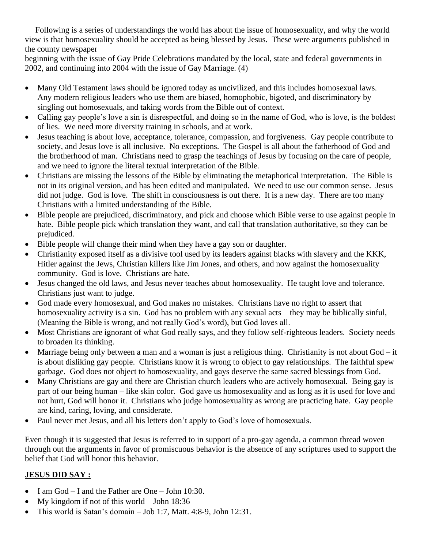Following is a series of understandings the world has about the issue of homosexuality, and why the world view is that homosexuality should be accepted as being blessed by Jesus. These were arguments published in the county newspaper

beginning with the issue of Gay Pride Celebrations mandated by the local, state and federal governments in 2002, and continuing into 2004 with the issue of Gay Marriage. (4)

- Many Old Testament laws should be ignored today as uncivilized, and this includes homosexual laws. Any modern religious leaders who use them are biased, homophobic, bigoted, and discriminatory by singling out homosexuals, and taking words from the Bible out of context.
- Calling gay people's love a sin is disrespectful, and doing so in the name of God, who is love, is the boldest of lies. We need more diversity training in schools, and at work.
- Jesus teaching is about love, acceptance, tolerance, compassion, and forgiveness. Gay people contribute to society, and Jesus love is all inclusive. No exceptions. The Gospel is all about the fatherhood of God and the brotherhood of man. Christians need to grasp the teachings of Jesus by focusing on the care of people, and we need to ignore the literal textual interpretation of the Bible.
- Christians are missing the lessons of the Bible by eliminating the metaphorical interpretation. The Bible is not in its original version, and has been edited and manipulated. We need to use our common sense. Jesus did not judge. God is love. The shift in consciousness is out there. It is a new day. There are too many Christians with a limited understanding of the Bible.
- Bible people are prejudiced, discriminatory, and pick and choose which Bible verse to use against people in hate. Bible people pick which translation they want, and call that translation authoritative, so they can be prejudiced.
- Bible people will change their mind when they have a gay son or daughter.
- Christianity exposed itself as a divisive tool used by its leaders against blacks with slavery and the KKK, Hitler against the Jews, Christian killers like Jim Jones, and others, and now against the homosexuality community. God is love. Christians are hate.
- Jesus changed the old laws, and Jesus never teaches about homosexuality. He taught love and tolerance. Christians just want to judge.
- God made every homosexual, and God makes no mistakes. Christians have no right to assert that homosexuality activity is a sin. God has no problem with any sexual acts – they may be biblically sinful, (Meaning the Bible is wrong, and not really God's word), but God loves all.
- Most Christians are ignorant of what God really says, and they follow self-righteous leaders. Society needs to broaden its thinking.
- Marriage being only between a man and a woman is just a religious thing. Christianity is not about God it is about disliking gay people. Christians know it is wrong to object to gay relationships. The faithful spew garbage. God does not object to homosexuality, and gays deserve the same sacred blessings from God.
- Many Christians are gay and there are Christian church leaders who are actively homosexual. Being gay is part of our being human – like skin color. God gave us homosexuality and as long as it is used for love and not hurt, God will honor it. Christians who judge homosexuality as wrong are practicing hate. Gay people are kind, caring, loving, and considerate.
- Paul never met Jesus, and all his letters don't apply to God's love of homosexuals.

Even though it is suggested that Jesus is referred to in support of a pro-gay agenda, a common thread woven through out the arguments in favor of promiscuous behavior is the absence of any scriptures used to support the belief that God will honor this behavior.

## **JESUS DID SAY :**

- I am God I and the Father are One John 10:30.
- My kingdom if not of this world John 18:36
- This world is Satan's domain Job 1:7, Matt. 4:8-9, John 12:31.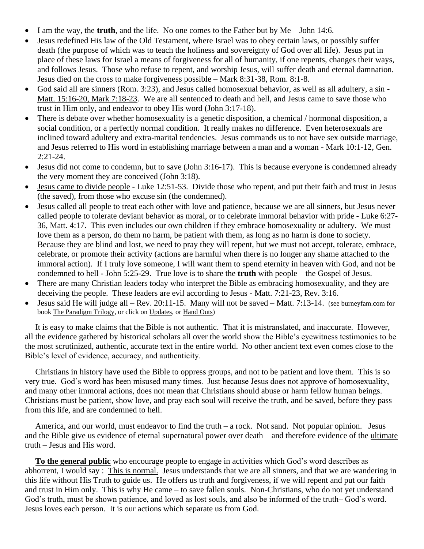- I am the way, the **truth**, and the life. No one comes to the Father but by Me John 14:6.
- Jesus redefined His law of the Old Testament, where Israel was to obey certain laws, or possibly suffer death (the purpose of which was to teach the holiness and sovereignty of God over all life). Jesus put in place of these laws for Israel a means of forgiveness for all of humanity, if one repents, changes their ways, and follows Jesus. Those who refuse to repent, and worship Jesus, will suffer death and eternal damnation. Jesus died on the cross to make forgiveness possible – Mark 8:31-38, Rom. 8:1-8.
- God said all are sinners (Rom. 3:23), and Jesus called homosexual behavior, as well as all adultery, a sin Matt. 15:16-20, Mark 7:18-23. We are all sentenced to death and hell, and Jesus came to save those who trust in Him only, and endeavor to obey His word (John 3:17-18).
- There is debate over whether homosexuality is a genetic disposition, a chemical / hormonal disposition, a social condition, or a perfectly normal condition. It really makes no difference. Even heterosexuals are inclined toward adultery and extra-marital tendencies. Jesus commands us to not have sex outside marriage, and Jesus referred to His word in establishing marriage between a man and a woman - Mark 10:1-12, Gen. 2:21-24.
- Jesus did not come to condemn, but to save (John 3:16-17). This is because everyone is condemned already the very moment they are conceived (John 3:18).
- Jesus came to divide people Luke 12:51-53. Divide those who repent, and put their faith and trust in Jesus (the saved), from those who excuse sin (the condemned).
- Jesus called all people to treat each other with love and patience, because we are all sinners, but Jesus never called people to tolerate deviant behavior as moral, or to celebrate immoral behavior with pride - Luke 6:27- 36, Matt. 4:17. This even includes our own children if they embrace homosexuality or adultery. We must love them as a person, do them no harm, be patient with them, as long as no harm is done to society. Because they are blind and lost, we need to pray they will repent, but we must not accept, tolerate, embrace, celebrate, or promote their activity (actions are harmful when there is no longer any shame attached to the immoral action). If I truly love someone, I will want them to spend eternity in heaven with God, and not be condemned to hell - John 5:25-29. True love is to share the **truth** with people – the Gospel of Jesus.
- There are many Christian leaders today who interpret the Bible as embracing homosexuality, and they are deceiving the people. These leaders are evil according to Jesus - Matt. 7:21-23, Rev. 3:16.
- Jesus said He will judge all Rev. 20:11-15. Many will not be saved Matt. 7:13-14. (see burneyfam.com for book The Paradigm Trilogy, or click on Updates, or Hand Outs)

 It is easy to make claims that the Bible is not authentic. That it is mistranslated, and inaccurate. However, all the evidence gathered by historical scholars all over the world show the Bible's eyewitness testimonies to be the most scrutinized, authentic, accurate text in the entire world. No other ancient text even comes close to the Bible's level of evidence, accuracy, and authenticity.

 Christians in history have used the Bible to oppress groups, and not to be patient and love them. This is so very true. God's word has been misused many times. Just because Jesus does not approve of homosexuality, and many other immoral actions, does not mean that Christians should abuse or harm fellow human beings. Christians must be patient, show love, and pray each soul will receive the truth, and be saved, before they pass from this life, and are condemned to hell.

 America, and our world, must endeavor to find the truth – a rock. Not sand. Not popular opinion. Jesus and the Bible give us evidence of eternal supernatural power over death – and therefore evidence of the ultimate truth – Jesus and His word.

 **To the general public** who encourage people to engage in activities which God's word describes as abhorrent, I would say : This is normal. Jesus understands that we are all sinners, and that we are wandering in this life without His Truth to guide us. He offers us truth and forgiveness, if we will repent and put our faith and trust in Him only. This is why He came – to save fallen souls. Non-Christians, who do not yet understand God's truth, must be shown patience, and loved as lost souls, and also be informed of the truth– God's word. Jesus loves each person. It is our actions which separate us from God.